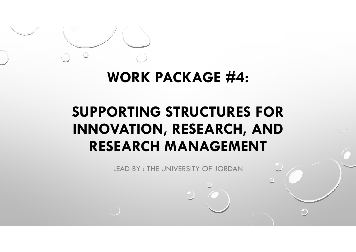# **WORK PACKAGE #4:**

# **SUPPORTING STRUCTURES FOR INNOVATION, RESEARCH, AND RESEARCH MANAGEMENT**

LEAD BY : THE UNIVERSITY OF JORDAN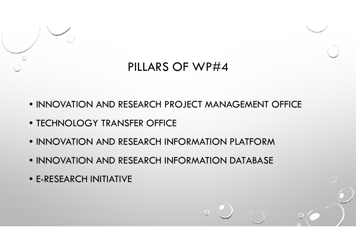

#### PILLARS OF WP#4

- INNOVATION AND RESEARCH PROJECT MANAGEMENT OFFICE
- TECHNOLOGY TRANSFER OFFICE
- INNOVATION AND RESEARCH INFORMATION PLATFORM
- INNOVATION AND RESEARCH INFORMATION DATABASE
- E-RESEARCH INITIATIVE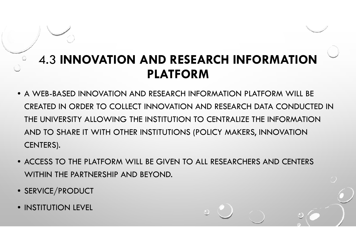#### 4.3 **INNOVATION AND RESEARCH INFORMATION PLATFORM**

- A WEB-BASED INNOVATION AND RESEARCH INFORMATION PLATFORM WILL BECREATED IN ORDER TO COLLECT INNOVATION AND RESEARCH DATA CONDUCTED IN THE UNIVERSITY ALLOWING THE INSTITUTION TO CENTRALIZE THE INFORMATION AND TO SHARE IT WITH OTHER INSTITUTIONS (POLICY MAKERS, INNOVATION CENTERS).
- ACCESS TO THE PLATFORM WILL BE GIVEN TO ALL RESEARCHERS AND CENTERS WITHIN THE PARTNERSHIP AND BEYOND.
- SERVICE/PRODUCT
- INSTITUTION LEVEL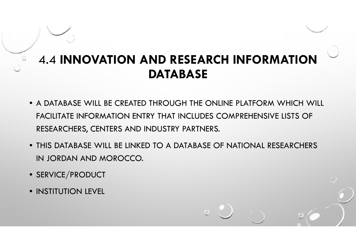#### 4.4 **INNOVATION AND RESEARCH INFORMATION DATABASE**

- A DATABASE WILL BE CREATED THROUGH THE ONLINE PLATFORM WHICH WILL FACILITATE INFORMATION ENTRY THAT INCLUDES COMPREHENSIVE LISTS OF RESEARCHERS, CENTERS AND INDUSTRY PARTNERS.
- THIS DATABASE WILL BE LINKED TO A DATABASE OF NATIONAL RESEARCHERS IN JORDAN AND MOROCCO.
- SERVICE/PRODUCT
- INSTITUTION LEVEL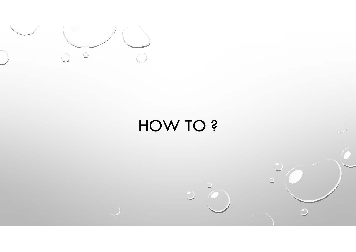

 $\langle \cdot \rangle$ 

# HOW TO ?

 $\bigcirc$ 

 $\bigcirc$ 

 $\bigcap$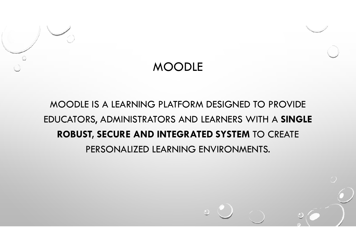

#### MOODLE

#### MOODLE IS A LEARNING PLATFORM DESIGNED TO PROVIDE EDUCATORS, ADMINISTRATORS AND LEARNERS WITH A **SINGLE ROBUST, SECURE AND INTEGRATED SYSTEM** TO CREATE PERSONALIZED LEARNING ENVIRONMENTS.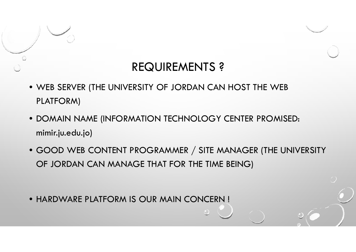#### REQUIREMENTS ?

- WEB SERVER (THE UNIVERSITY OF JORDAN CAN HOST THE WEB PLATFORM)
- DOMAIN NAME (INFORMATION TECHNOLOGY CENTER PROMISED: mimir.ju.edu.jo)
- GOOD WEB CONTENT PROGRAMMER / SITE MANAGER (THE UNIVERSITY OF JORDAN CAN MANAGE THAT FOR THE TIME BEING)
- HARDWARE PLATFORM IS OUR MAIN CONCERN !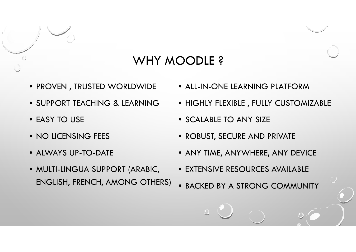

#### WHY MOODLE?

- PROVEN , TRUSTED WORLDWIDE
- SUPPORT TEACHING & LEARNING
- EASY TO USE
- NO LICENSING FEES
- ALWAYS UP-TO-DATE
- MULTI-LINGUA SUPPORT (ARABIC, ENGLISH, FRENCH, AMONG OTHERS)
- ALL-IN-ONE LEARNING PLATFORM
- HIGHLY FLEXIBLE , FULLY CUSTOMIZABLE
- SCALABLE TO ANY SIZE
- ROBUST, SECURE AND PRIVATE
- ANY TIME, ANYWHERE, ANY DEVICE
- EXTENSIVE RESOURCES AVAILABLE
- •BACKED BY A STRONG COMMUNITY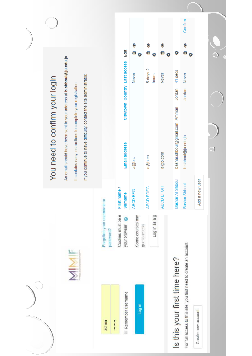|                                                                    |                                                |                                | You need to confirm your login                                              |                               |                                |  |
|--------------------------------------------------------------------|------------------------------------------------|--------------------------------|-----------------------------------------------------------------------------|-------------------------------|--------------------------------|--|
|                                                                    |                                                |                                | An email should have been sent to your address at <b>b.shboul@ju.edu.jo</b> |                               |                                |  |
| MIMIF                                                              |                                                |                                | It contains easy instructions to complete your registration.                |                               |                                |  |
|                                                                    |                                                |                                | If you continue to have difficulty, contact the site administrator.         |                               |                                |  |
| admin                                                              | Forgotten your username or                     |                                |                                                                             |                               |                                |  |
|                                                                    | password?                                      |                                |                                                                             |                               |                                |  |
| Remember username<br>                                              | Cookies must be e<br>$\bullet$<br>your browser | First name /<br><b>Surname</b> | Email address                                                               | City/town Country Last access | Edit                           |  |
| log in                                                             | Some courses may<br>guest access               | EFG<br>ABCD E                  | a@b.c                                                                       | <b>Never</b>                  | $\bullet$<br>€<br>۰            |  |
|                                                                    | pe se ui bon                                   | ABCD EDFG                      | a@b.co                                                                      | 5 days 2<br>hours             | ۱<br>⋴<br>٠                    |  |
|                                                                    |                                                | EFGH<br>ABCD E                 | a@b.com                                                                     | <b>Never</b>                  | $\bullet$<br>⋴<br>o            |  |
| Is this your first time here?                                      |                                                | Bashar Al-Shboul               | bashar.shboul@gmail.com Amman                                               | 41 secs<br>Jordan             | ۰                              |  |
| For full access to this site, you first need to create an account. |                                                | Shboul<br>Bashar               | b.shboul@ju.edu.jo                                                          | Never<br>Jordan               | Confirm<br>$\bullet$<br>目<br>٠ |  |
| Create new account                                                 |                                                | Add a new user                 |                                                                             |                               |                                |  |
|                                                                    |                                                |                                | <u>ා</u>                                                                    |                               | $\bigcirc$                     |  |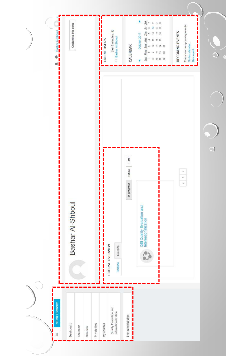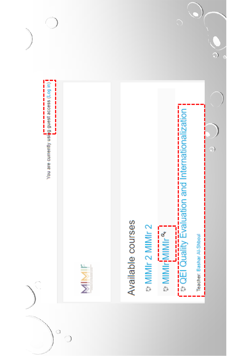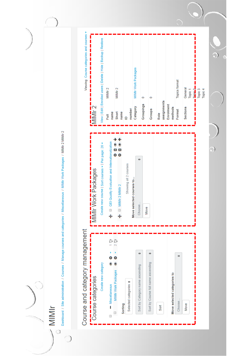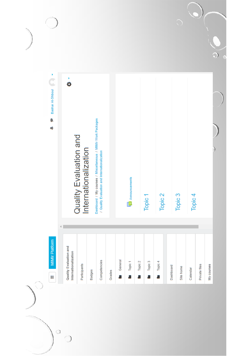

 $\bigcirc$ 

 $\bigcirc$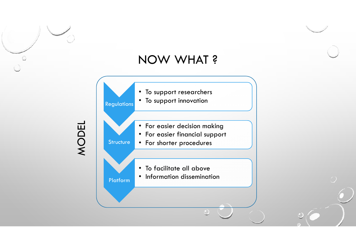#### NOW WHAT ?

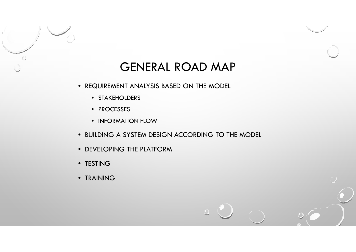

#### GENERAL ROAD MAP

- REQUIREMENT ANALYSIS BASED ON THE MODEL
	- STAKEHOLDERS
	- PROCESSES
	- INFORMATION FLOW
- BUILDING A SYSTEM DESIGN ACCORDING TO THE MODEL
- DEVELOPING THE PLATFORM
- TESTING
- TRAINING